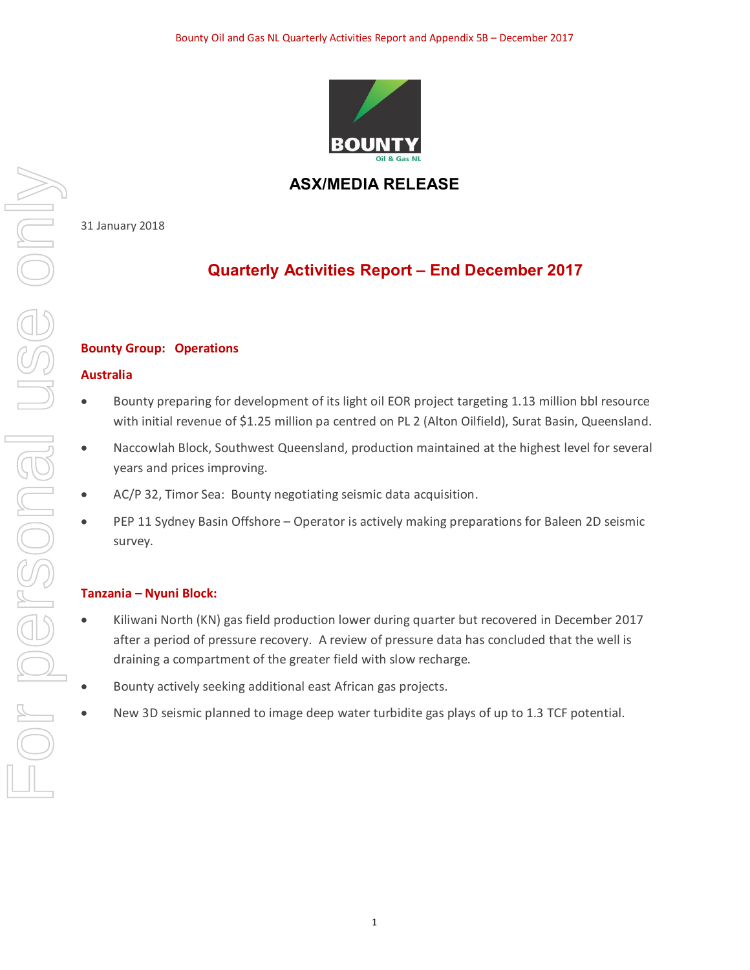

## **ASX/MEDIA RELEASE**

31 January 2018

# **Quarterly Activities Report – End December 2017**

## **Bounty Group: Operations**

## **Australia**

- · Bounty preparing for development of its light oil EOR project targeting 1.13 million bbl resource with initial revenue of \$1.25 million pa centred on PL 2 (Alton Oilfield), Surat Basin, Queensland.
- · Naccowlah Block, Southwest Queensland, production maintained at the highest level for several years and prices improving.
- AC/P 32, Timor Sea: Bounty negotiating seismic data acquisition.
- PEP 11 Sydney Basin Offshore Operator is actively making preparations for Baleen 2D seismic survey.

## **Tanzania – Nyuni Block:**

- · Kiliwani North (KN) gas field production lower during quarter but recovered in December 2017 after a period of pressure recovery. A review of pressure data has concluded that the well is draining a compartment of the greater field with slow recharge.
- Bounty actively seeking additional east African gas projects.
- New 3D seismic planned to image deep water turbidite gas plays of up to 1.3 TCF potential.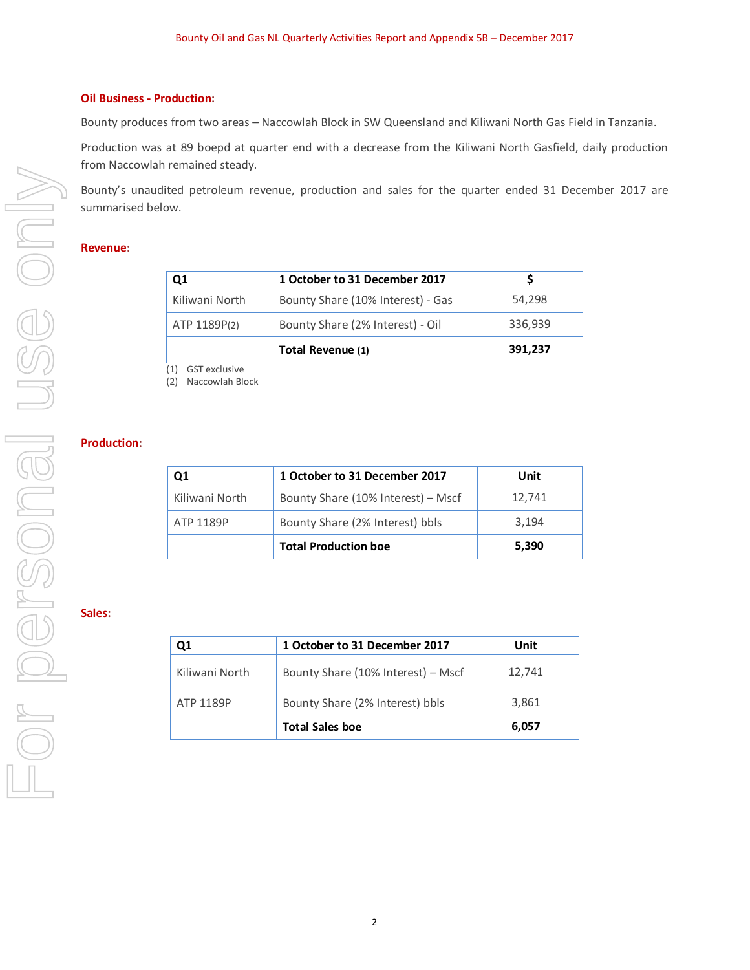#### **Oil Business - Production:**

Bounty produces from two areas – Naccowlah Block in SW Queensland and Kiliwani North Gas Field in Tanzania.

Production was at 89 boepd at quarter end with a decrease from the Kiliwani North Gasfield, daily production from Naccowlah remained steady.

Bounty's unaudited petroleum revenue, production and sales for the quarter ended 31 December 2017 are summarised below.

#### **Revenue:**

| Ο1             | 1 October to 31 December 2017     |         |
|----------------|-----------------------------------|---------|
| Kiliwani North | Bounty Share (10% Interest) - Gas | 54.298  |
| ATP 1189P(2)   | Bounty Share (2% Interest) - Oil  | 336,939 |
|                | Total Revenue (1)                 | 391,237 |

(1) GST exclusive (2) Naccowlah Block

#### **Production:**

| Q1                                           | 1 October to 31 December 2017      | Unit   |
|----------------------------------------------|------------------------------------|--------|
| Kiliwani North                               | Bounty Share (10% Interest) - Mscf | 12,741 |
| Bounty Share (2% Interest) bbls<br>ATP 1189P |                                    | 3,194  |
|                                              | <b>Total Production boe</b>        | 5,390  |

#### **Sales:**

| Ο1             | 1 October to 31 December 2017      | Unit   |
|----------------|------------------------------------|--------|
| Kiliwani North | Bounty Share (10% Interest) - Mscf | 12,741 |
| ATP 1189P      | Bounty Share (2% Interest) bbls    | 3,861  |
|                | <b>Total Sales boe</b>             | 6,057  |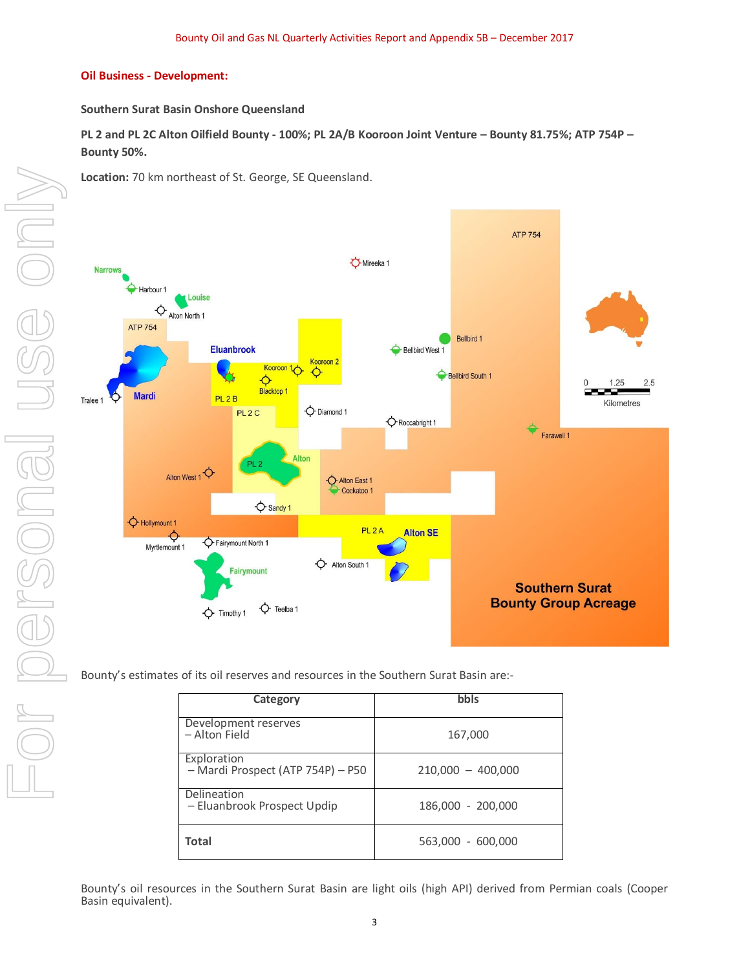#### **Oil Business - Development:**

#### **Southern Surat Basin Onshore Queensland**

**PL 2 and PL 2C Alton Oilfield Bounty - 100%; PL 2A/B Kooroon Joint Venture – Bounty 81.75%; ATP 754P – Bounty 50%.** 

**Location:** 70 km northeast of St. George, SE Queensland.



Bounty's estimates of its oil reserves and resources in the Southern Surat Basin are:-

| Category                                         | bbls                |
|--------------------------------------------------|---------------------|
| Development reserves<br>- Alton Field            | 167,000             |
| Exploration<br>- Mardi Prospect (ATP 754P) - P50 | $210,000 - 400,000$ |
| Delineation<br>- Eluanbrook Prospect Updip       | 186,000 - 200,000   |
| Total                                            | 563,000 - 600,000   |

Bounty's oil resources in the Southern Surat Basin are light oils (high API) derived from Permian coals (Cooper Basin equivalent).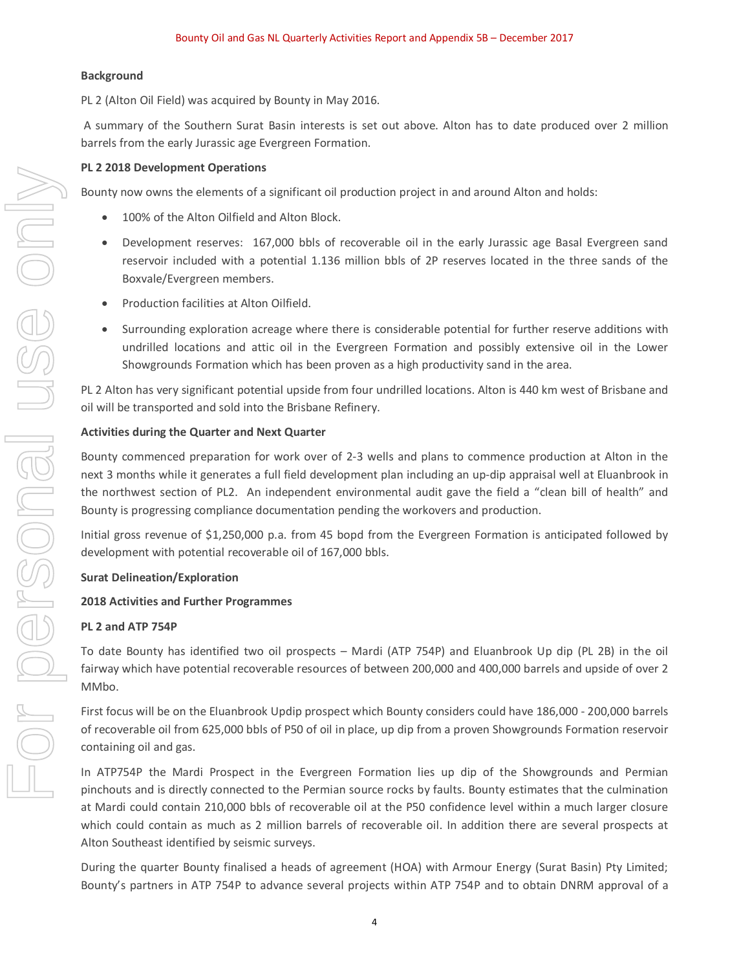#### **Background**

PL 2 (Alton Oil Field) was acquired by Bounty in May 2016.

A summary of the Southern Surat Basin interests is set out above. Alton has to date produced over 2 million barrels from the early Jurassic age Evergreen Formation.

#### **PL 2 2018 Development Operations**

Bounty now owns the elements of a significant oil production project in and around Alton and holds:

- · 100% of the Alton Oilfield and Alton Block.
- Development reserves: 167,000 bbls of recoverable oil in the early Jurassic age Basal Evergreen sand reservoir included with a potential 1.136 million bbls of 2P reserves located in the three sands of the Boxvale/Evergreen members.
- · Production facilities at Alton Oilfield.
- Surrounding exploration acreage where there is considerable potential for further reserve additions with undrilled locations and attic oil in the Evergreen Formation and possibly extensive oil in the Lower Showgrounds Formation which has been proven as a high productivity sand in the area.

PL 2 Alton has very significant potential upside from four undrilled locations. Alton is 440 km west of Brisbane and oil will be transported and sold into the Brisbane Refinery.

#### **Activities during the Quarter and Next Quarter**

Bounty commenced preparation for work over of 2-3 wells and plans to commence production at Alton in the next 3 months while it generates a full field development plan including an up-dip appraisal well at Eluanbrook in the northwest section of PL2. An independent environmental audit gave the field a "clean bill of health" and Bounty is progressing compliance documentation pending the workovers and production.

Initial gross revenue of \$1,250,000 p.a. from 45 bopd from the Evergreen Formation is anticipated followed by development with potential recoverable oil of 167,000 bbls.

#### **Surat Delineation/Exploration**

#### **2018 Activities and Further Programmes**

#### **PL 2 and ATP 754P**

To date Bounty has identified two oil prospects – Mardi (ATP 754P) and Eluanbrook Up dip (PL 2B) in the oil fairway which have potential recoverable resources of between 200,000 and 400,000 barrels and upside of over 2 MMbo.

First focus will be on the Eluanbrook Updip prospect which Bounty considers could have 186,000 - 200,000 barrels of recoverable oil from 625,000 bbls of P50 of oil in place, up dip from a proven Showgrounds Formation reservoir containing oil and gas.

In ATP754P the Mardi Prospect in the Evergreen Formation lies up dip of the Showgrounds and Permian pinchouts and is directly connected to the Permian source rocks by faults. Bounty estimates that the culmination at Mardi could contain 210,000 bbls of recoverable oil at the P50 confidence level within a much larger closure which could contain as much as 2 million barrels of recoverable oil. In addition there are several prospects at Alton Southeast identified by seismic surveys.

During the quarter Bounty finalised a heads of agreement (HOA) with Armour Energy (Surat Basin) Pty Limited; Bounty's partners in ATP 754P to advance several projects within ATP 754P and to obtain DNRM approval of a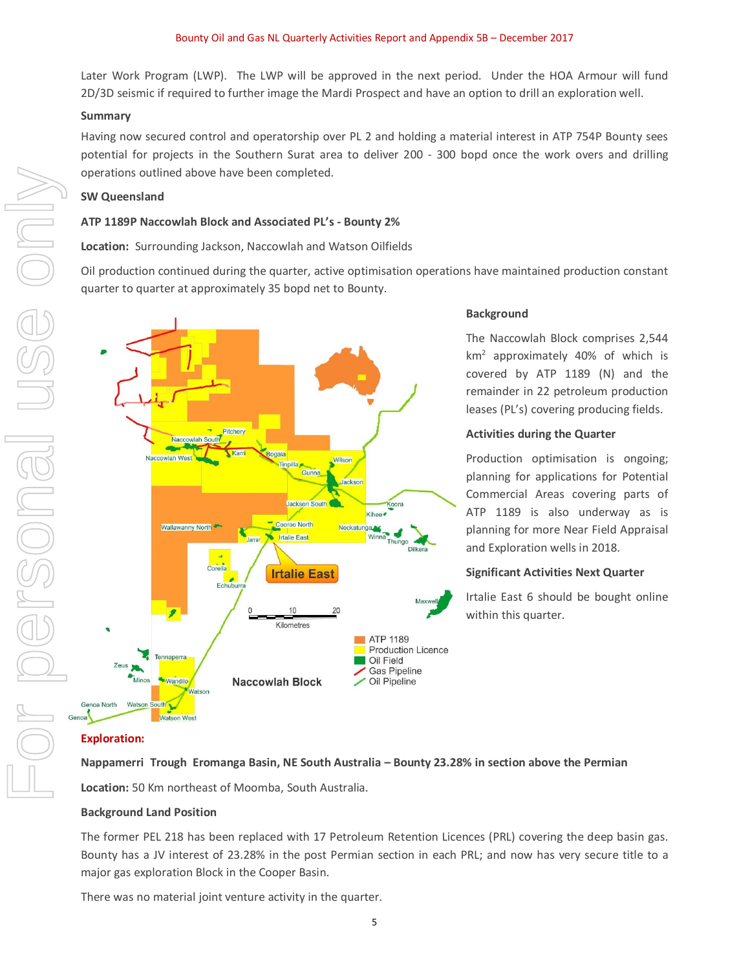Later Work Program (LWP). The LWP will be approved in the next period. Under the HOA Armour will fund 2D/3D seismic if required to further image the Mardi Prospect and have an option to drill an exploration well.

#### **Summary**

Having now secured control and operatorship over PL 2 and holding a material interest in ATP 754P Bounty sees potential for projects in the Southern Surat area to deliver 200 - 300 bopd once the work overs and drilling operations outlined above have been completed.

#### **SW Queensland**

#### **ATP 1189P Naccowlah Block and Associated PL's - Bounty 2%**

**Location:** Surrounding Jackson, Naccowlah and Watson Oilfields

Oil production continued during the quarter, active optimisation operations have maintained production constant quarter to quarter at approximately 35 bopd net to Bounty.



## **Background**

The Naccowlah Block comprises 2,544 km2 approximately 40% of which is covered by ATP 1189 (N) and the remainder in 22 petroleum production leases (PL's) covering producing fields.

#### **Activities during the Quarter**

Production optimisation is ongoing; planning for applications for Potential Commercial Areas covering parts of ATP 1189 is also underway as is planning for more Near Field Appraisal and Exploration wells in 2018.

## **Significant Activities Next Quarter**

Irtalie East 6 should be bought online within this quarter.

#### **Exploration:**

**Nappamerri Trough Eromanga Basin, NE South Australia – Bounty 23.28% in section above the Permian**

**Location:** 50 Km northeast of Moomba, South Australia.

## **Background Land Position**

The former PEL 218 has been replaced with 17 Petroleum Retention Licences (PRL) covering the deep basin gas. Bounty has a JV interest of 23.28% in the post Permian section in each PRL; and now has very secure title to a major gas exploration Block in the Cooper Basin.

There was no material joint venture activity in the quarter.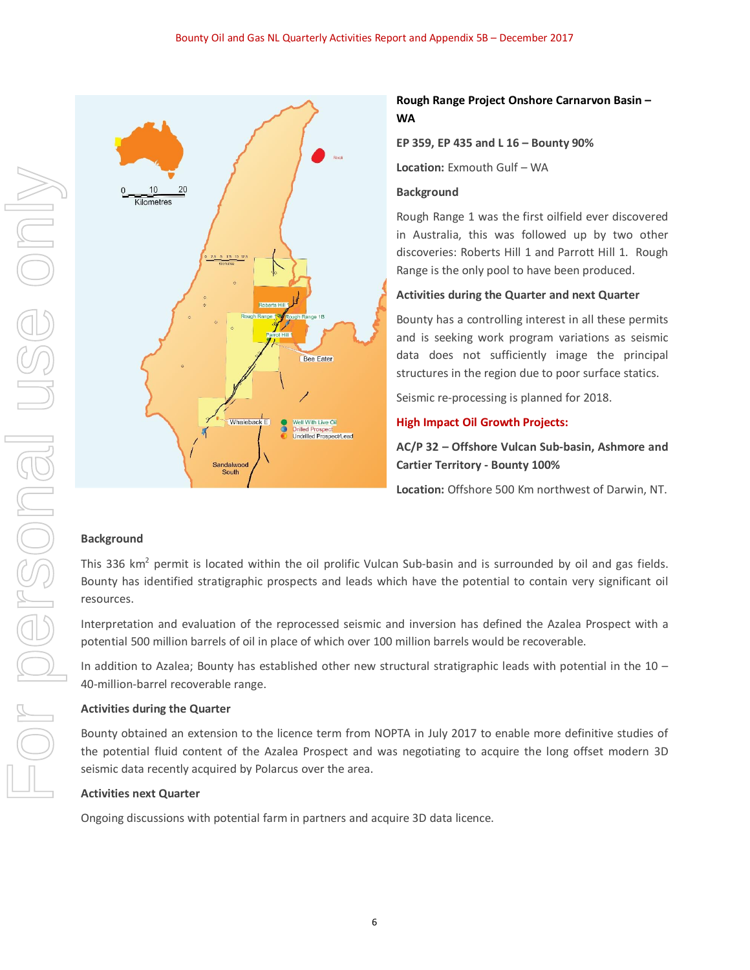

## **Rough Range Project Onshore Carnarvon Basin – WA**

**EP 359, EP 435 and L 16 – Bounty 90%**

**Location:** Exmouth Gulf – WA

#### **Background**

Rough Range 1 was the first oilfield ever discovered in Australia, this was followed up by two other discoveries: Roberts Hill 1 and Parrott Hill 1. Rough Range is the only pool to have been produced.

#### **Activities during the Quarter and next Quarter**

Bounty has a controlling interest in all these permits and is seeking work program variations as seismic data does not sufficiently image the principal structures in the region due to poor surface statics.

Seismic re-processing is planned for 2018.

#### **High Impact Oil Growth Projects:**

**AC/P 32 – Offshore Vulcan Sub-basin, Ashmore and Cartier Territory - Bounty 100%**

**Location:** Offshore 500 Km northwest of Darwin, NT.

## **Background**

This 336 km<sup>2</sup> permit is located within the oil prolific Vulcan Sub-basin and is surrounded by oil and gas fields. Bounty has identified stratigraphic prospects and leads which have the potential to contain very significant oil resources.

Interpretation and evaluation of the reprocessed seismic and inversion has defined the Azalea Prospect with a potential 500 million barrels of oil in place of which over 100 million barrels would be recoverable.

In addition to Azalea; Bounty has established other new structural stratigraphic leads with potential in the 10 – 40-million-barrel recoverable range.

#### **Activities during the Quarter**

Bounty obtained an extension to the licence term from NOPTA in July 2017 to enable more definitive studies of the potential fluid content of the Azalea Prospect and was negotiating to acquire the long offset modern 3D seismic data recently acquired by Polarcus over the area.

#### **Activities next Quarter**

Ongoing discussions with potential farm in partners and acquire 3D data licence.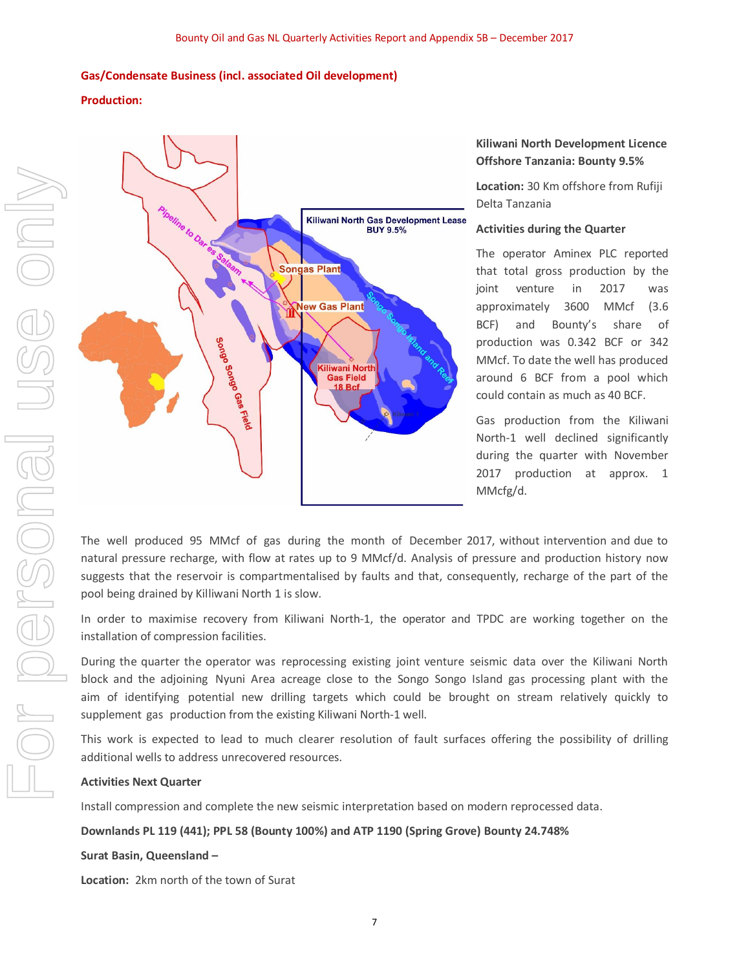#### **Gas/Condensate Business (incl. associated Oil development)**

#### **Production:**



#### **Kiliwani North Development Licence Offshore Tanzania: Bounty 9.5%**

**Location:** 30 Km offshore from Rufiji Delta Tanzania

#### **Activities during the Quarter**

The operator Aminex PLC reported that total gross production by the joint venture in 2017 was approximately 3600 MMcf (3.6 BCF) and Bounty's share of production was 0.342 BCF or 342 MMcf. To date the well has produced around 6 BCF from a pool which could contain as much as 40 BCF.

Gas production from the Kiliwani North-1 well declined significantly during the quarter with November 2017 production at approx. 1 MMcfg/d.

The well produced 95 MMcf of gas during the month of December 2017, without intervention and due to natural pressure recharge, with flow at rates up to 9 MMcf/d. Analysis of pressure and production history now suggests that the reservoir is compartmentalised by faults and that, consequently, recharge of the part of the pool being drained by Killiwani North 1 is slow.

In order to maximise recovery from Kiliwani North-1, the operator and TPDC are working together on the installation of compression facilities.

During the quarter the operator was reprocessing existing joint venture seismic data over the Kiliwani North block and the adjoining Nyuni Area acreage close to the Songo Songo Island gas processing plant with the aim of identifying potential new drilling targets which could be brought on stream relatively quickly to supplement gas production from the existing Kiliwani North-1 well.

This work is expected to lead to much clearer resolution of fault surfaces offering the possibility of drilling additional wells to address unrecovered resources.

#### **Activities Next Quarter**

Install compression and complete the new seismic interpretation based on modern reprocessed data.

**Downlands PL 119 (441); PPL 58 (Bounty 100%) and ATP 1190 (Spring Grove) Bounty 24.748%** 

#### **Surat Basin, Queensland –**

**Location:** 2km north of the town of Surat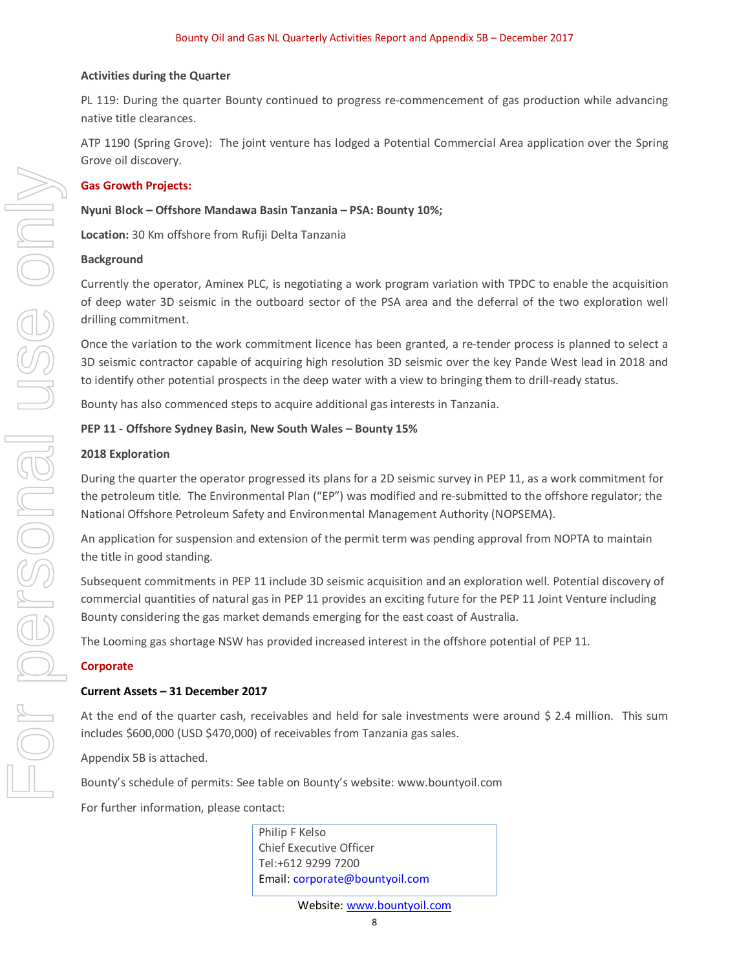#### **Activities during the Quarter**

PL 119: During the quarter Bounty continued to progress re-commencement of gas production while advancing native title clearances.

ATP 1190 (Spring Grove): The joint venture has lodged a Potential Commercial Area application over the Spring Grove oil discovery.

#### **Gas Growth Projects:**

#### **Nyuni Block – Offshore Mandawa Basin Tanzania – PSA: Bounty 10%;**

**Location:** 30 Km offshore from Rufiji Delta Tanzania

#### **Background**

Currently the operator, Aminex PLC, is negotiating a work program variation with TPDC to enable the acquisition of deep water 3D seismic in the outboard sector of the PSA area and the deferral of the two exploration well drilling commitment.

Once the variation to the work commitment licence has been granted, a re-tender process is planned to select a 3D seismic contractor capable of acquiring high resolution 3D seismic over the key Pande West lead in 2018 and to identify other potential prospects in the deep water with a view to bringing them to drill-ready status.

Bounty has also commenced steps to acquire additional gas interests in Tanzania.

#### **PEP 11 - Offshore Sydney Basin, New South Wales – Bounty 15%**

#### **2018 Exploration**

During the quarter the operator progressed its plans for a 2D seismic survey in PEP 11, as a work commitment for the petroleum title. The Environmental Plan ("EP") was modified and re-submitted to the offshore regulator; the National Offshore Petroleum Safety and Environmental Management Authority (NOPSEMA).

An application for suspension and extension of the permit term was pending approval from NOPTA to maintain the title in good standing.

Subsequent commitments in PEP 11 include 3D seismic acquisition and an exploration well. Potential discovery of commercial quantities of natural gas in PEP 11 provides an exciting future for the PEP 11 Joint Venture including Bounty considering the gas market demands emerging for the east coast of Australia.

The Looming gas shortage NSW has provided increased interest in the offshore potential of PEP 11.

#### **Corporate**

#### **Current Assets – 31 December 2017**

At the end of the quarter cash, receivables and held for sale investments were around \$ 2.4 million. This sum includes \$600,000 (USD \$470,000) of receivables from Tanzania gas sales.

Appendix 5B is attached.

Bounty's schedule of permits: See table on Bounty's website: www.bountyoil.com

For further information, please contact:

Philip F Kelso Chief Executive Officer Tel:+612 9299 7200 Email: corporate@bountyoil.com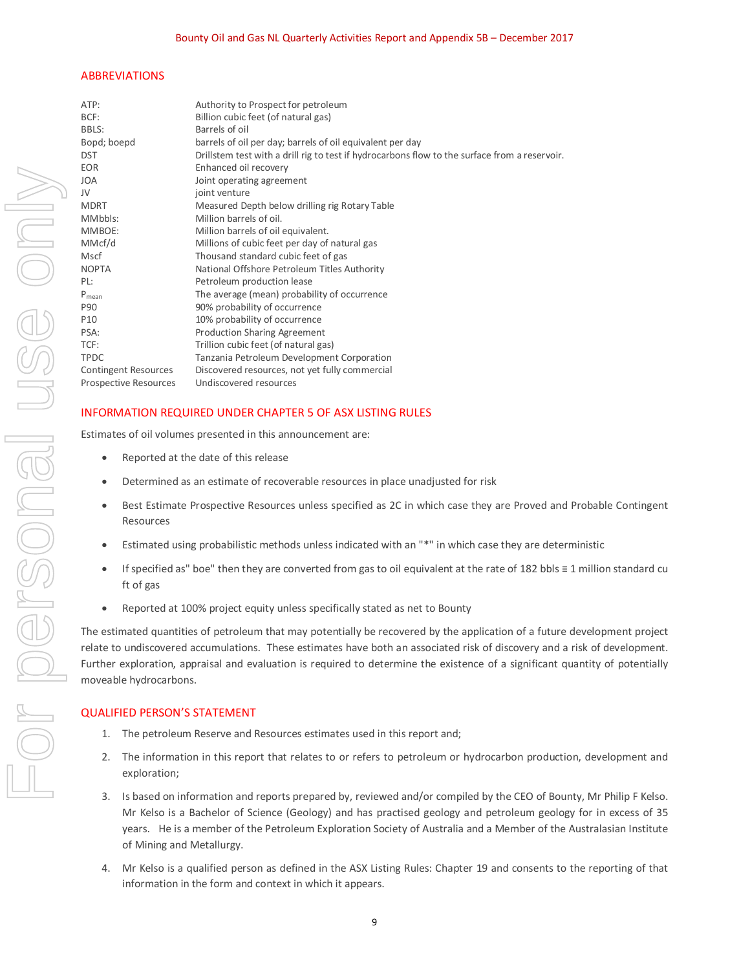#### ABBREVIATIONS

| ATP:                        | Authority to Prospect for petroleum                                                           |
|-----------------------------|-----------------------------------------------------------------------------------------------|
| BCF:                        | Billion cubic feet (of natural gas)                                                           |
| BBLS:                       | Barrels of oil                                                                                |
| Bopd; boepd                 | barrels of oil per day; barrels of oil equivalent per day                                     |
| <b>DST</b>                  | Drillstem test with a drill rig to test if hydrocarbons flow to the surface from a reservoir. |
| <b>EOR</b>                  | Enhanced oil recovery                                                                         |
| JOA                         | Joint operating agreement                                                                     |
| JV                          | joint venture                                                                                 |
| MDRT                        | Measured Depth below drilling rig Rotary Table                                                |
| MMbbls:                     | Million barrels of oil.                                                                       |
| MMBOE:                      | Million barrels of oil equivalent.                                                            |
| MMcf/d                      | Millions of cubic feet per day of natural gas                                                 |
| Mscf                        | Thousand standard cubic feet of gas                                                           |
| <b>NOPTA</b>                | National Offshore Petroleum Titles Authority                                                  |
| PL:                         | Petroleum production lease                                                                    |
| $P_{mean}$                  | The average (mean) probability of occurrence                                                  |
| P90                         | 90% probability of occurrence                                                                 |
| P10                         | 10% probability of occurrence                                                                 |
| PSA:                        | Production Sharing Agreement                                                                  |
| TCF:                        | Trillion cubic feet (of natural gas)                                                          |
| <b>TPDC</b>                 | Tanzania Petroleum Development Corporation                                                    |
| <b>Contingent Resources</b> | Discovered resources, not yet fully commercial                                                |
| Prospective Resources       | Undiscovered resources                                                                        |
|                             |                                                                                               |

#### INFORMATION REQUIRED UNDER CHAPTER 5 OF ASX LISTING RULES

Estimates of oil volumes presented in this announcement are:

- Reported at the date of this release
- Determined as an estimate of recoverable resources in place unadjusted for risk
- Best Estimate Prospective Resources unless specified as 2C in which case they are Proved and Probable Contingent Resources
- · Estimated using probabilistic methods unless indicated with an "\*" in which case they are deterministic
- · If specified as" boe" then they are converted from gas to oil equivalent at the rate of 182 bbls ≡ 1 million standard cu ft of gas
- · Reported at 100% project equity unless specifically stated as net to Bounty

The estimated quantities of petroleum that may potentially be recovered by the application of a future development project relate to undiscovered accumulations. These estimates have both an associated risk of discovery and a risk of development. Further exploration, appraisal and evaluation is required to determine the existence of a significant quantity of potentially moveable hydrocarbons.

#### QUALIFIED PERSON'S STATEMENT

- 1. The petroleum Reserve and Resources estimates used in this report and;
- 2. The information in this report that relates to or refers to petroleum or hydrocarbon production, development and exploration;
- 3. Is based on information and reports prepared by, reviewed and/or compiled by the CEO of Bounty, Mr Philip F Kelso. Mr Kelso is a Bachelor of Science (Geology) and has practised geology and petroleum geology for in excess of 35 years. He is a member of the Petroleum Exploration Society of Australia and a Member of the Australasian Institute of Mining and Metallurgy.
- 4. Mr Kelso is a qualified person as defined in the ASX Listing Rules: Chapter 19 and consents to the reporting of that information in the form and context in which it appears.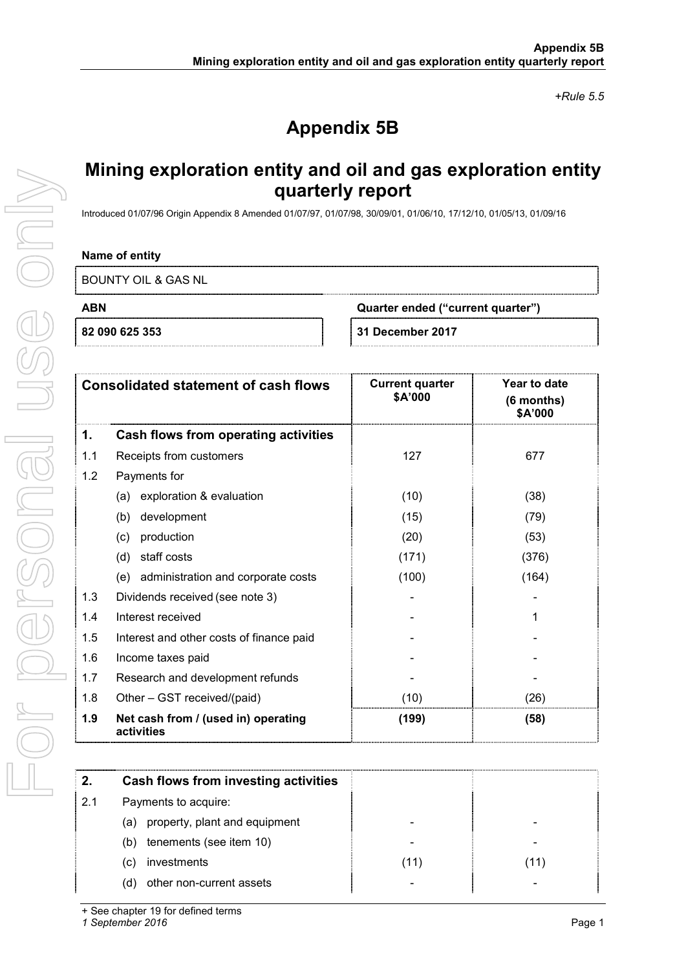*+Rule 5.5* 

# **Appendix 5B**

# **Mining exploration entity and oil and gas exploration entity quarterly report**

Introduced 01/07/96 Origin Appendix 8 Amended 01/07/97, 01/07/98, 30/09/01, 01/06/10, 17/12/10, 01/05/13, 01/09/16

## **Name of entity**

BOUNTY OIL & GAS NL

## **ABN Quarter ended ("current quarter") 82 090 625 353 31 December 2017**

|  | <b>31 December 2017</b> |  |
|--|-------------------------|--|

| <b>Consolidated statement of cash flows</b> |                                                   | <b>Current quarter</b><br>\$A'000 | Year to date<br>(6 months)<br>\$A'000 |
|---------------------------------------------|---------------------------------------------------|-----------------------------------|---------------------------------------|
| 1.                                          | Cash flows from operating activities              |                                   |                                       |
| 1.1                                         | Receipts from customers                           | 127                               | 677                                   |
| 1.2                                         | Payments for                                      |                                   |                                       |
|                                             | exploration & evaluation<br>(a)                   | (10)                              | (38)                                  |
|                                             | development<br>(b)                                | (15)                              | (79)                                  |
|                                             | production<br>(c)                                 | (20)                              | (53)                                  |
|                                             | staff costs<br>(d)                                | (171)                             | (376)                                 |
|                                             | (e) administration and corporate costs            | (100)                             | (164)                                 |
| 1.3                                         | Dividends received (see note 3)                   |                                   |                                       |
| 1.4                                         | Interest received                                 |                                   | 1                                     |
| 1.5                                         | Interest and other costs of finance paid          |                                   |                                       |
| 1.6                                         | Income taxes paid                                 |                                   |                                       |
| 1.7                                         | Research and development refunds                  |                                   |                                       |
| 1.8                                         | Other - GST received/(paid)                       | (10)                              | (26)                                  |
| 1.9                                         | Net cash from / (used in) operating<br>activities | (199)                             | (58)                                  |

|     | Cash flows from investing activities |      |    |
|-----|--------------------------------------|------|----|
| 2.1 | Payments to acquire:                 |      |    |
|     | (a) property, plant and equipment    |      |    |
|     | tenements (see item 10)<br>(b)       |      |    |
|     | investments<br>(C)                   | (11) | 11 |
|     | other non-current assets<br>d)       |      |    |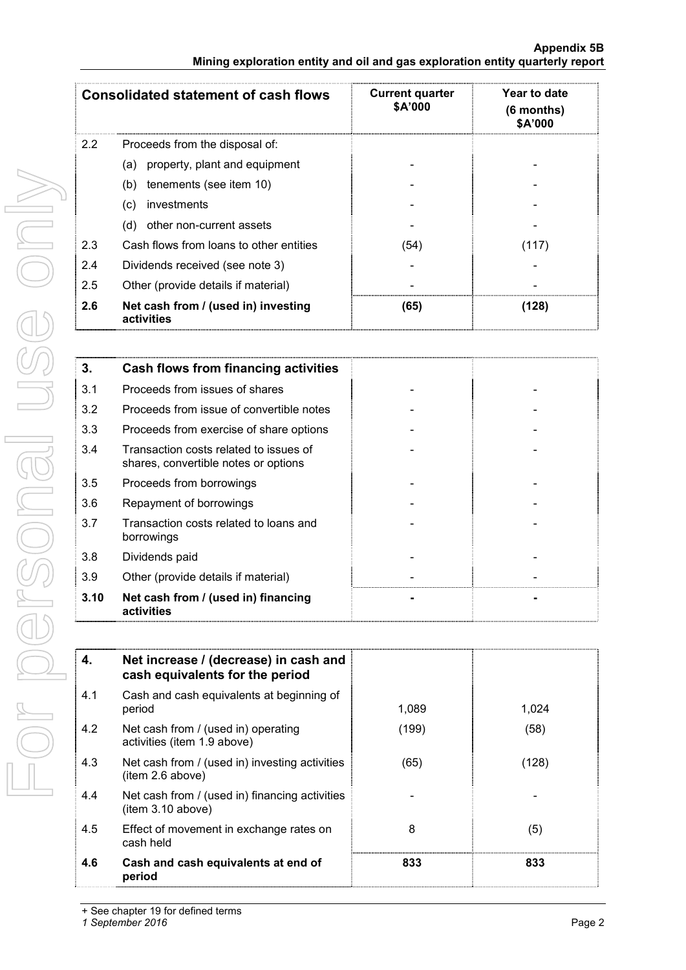|               | <b>Consolidated statement of cash flows</b>       | <b>Current quarter</b><br><b>\$A'000</b> | Year to date<br>$(6$ months)<br>\$A'000 |
|---------------|---------------------------------------------------|------------------------------------------|-----------------------------------------|
| $2.2^{\circ}$ | Proceeds from the disposal of:                    |                                          |                                         |
|               | (a) property, plant and equipment                 |                                          |                                         |
|               | tenements (see item 10)<br>(b)                    |                                          |                                         |
|               | investments<br>(C)                                |                                          |                                         |
|               | other non-current assets<br>(d)                   |                                          |                                         |
| 2.3           | Cash flows from loans to other entities           | (54)                                     | (117)                                   |
| 2.4           | Dividends received (see note 3)                   |                                          |                                         |
| 2.5           | Other (provide details if material)               |                                          |                                         |
| 2.6           | Net cash from / (used in) investing<br>activities | (65)                                     | (128)                                   |

| 3.   | Cash flows from financing activities                                           |  |
|------|--------------------------------------------------------------------------------|--|
| 3.1  | Proceeds from issues of shares                                                 |  |
| 3.2  | Proceeds from issue of convertible notes                                       |  |
| 3.3  | Proceeds from exercise of share options                                        |  |
| 3.4  | Transaction costs related to issues of<br>shares, convertible notes or options |  |
| 3.5  | Proceeds from borrowings                                                       |  |
| 3.6  | Repayment of borrowings                                                        |  |
| 3.7  | Transaction costs related to loans and<br>borrowings                           |  |
| 3.8  | Dividends paid                                                                 |  |
| 3.9  | Other (provide details if material)                                            |  |
| 3.10 | Net cash from / (used in) financing<br>activities                              |  |

| 4.  | Net increase / (decrease) in cash and<br>cash equivalents for the period |       |       |
|-----|--------------------------------------------------------------------------|-------|-------|
| 4.1 | Cash and cash equivalents at beginning of<br>period                      | 1.089 | 1.024 |
| 4.2 | Net cash from / (used in) operating<br>activities (item 1.9 above)       | (199) | (58)  |
| 4.3 | Net cash from / (used in) investing activities<br>item 2.6 above)        | (65)  | (128) |
| 4.4 | Net cash from / (used in) financing activities<br>(item 3.10 above)      |       |       |
| 4.5 | Effect of movement in exchange rates on<br>cash held                     | 8     | (5)   |
| 4.6 | Cash and cash equivalents at end of<br>period                            | 833   | 833   |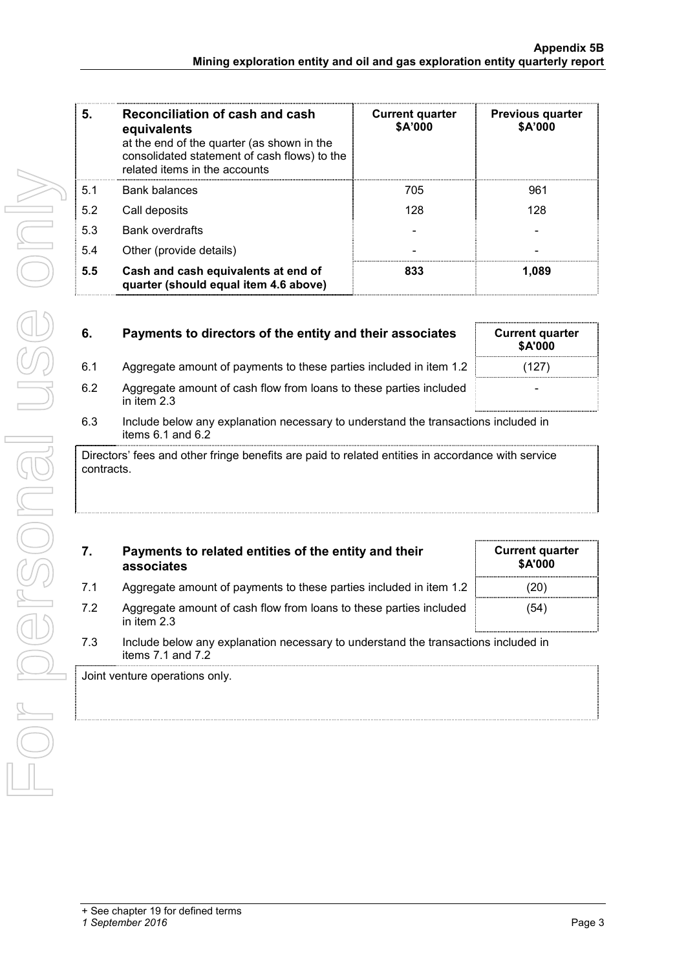| 5.  | Reconciliation of cash and cash<br>equivalents<br>at the end of the quarter (as shown in the<br>consolidated statement of cash flows) to the<br>related items in the accounts | <b>Current quarter</b><br>\$A'000 | <b>Previous quarter</b><br>\$A'000 |
|-----|-------------------------------------------------------------------------------------------------------------------------------------------------------------------------------|-----------------------------------|------------------------------------|
| 5.1 | <b>Bank balances</b>                                                                                                                                                          | 705                               | 961                                |
| 5.2 | Call deposits                                                                                                                                                                 | 128                               | 128                                |
| 5.3 | <b>Bank overdrafts</b>                                                                                                                                                        |                                   |                                    |
| 5.4 | Other (provide details)                                                                                                                                                       |                                   |                                    |
| 5.5 | Cash and cash equivalents at end of<br>quarter (should equal item 4.6 above)                                                                                                  | 833                               | 1.089                              |

| 6.                                                                                                              | Payments to directors of the entity and their associates                                                    | <b>Current quarter</b><br><b>\$A'000</b> |  |  |
|-----------------------------------------------------------------------------------------------------------------|-------------------------------------------------------------------------------------------------------------|------------------------------------------|--|--|
| 6.1                                                                                                             | Aggregate amount of payments to these parties included in item 1.2                                          | (127                                     |  |  |
| 6.2                                                                                                             | Aggregate amount of cash flow from loans to these parties included<br>in item $2.3$                         |                                          |  |  |
| 6.3                                                                                                             | Include below any explanation necessary to understand the transactions included in<br>items $6.1$ and $6.2$ |                                          |  |  |
| Directors' fees and other fringe benefits are paid to related entities in accordance with service<br>contracts. |                                                                                                             |                                          |  |  |

| 7.                             | Payments to related entities of the entity and their<br>associates                                          | <b>Current quarter</b><br><b>\$A'000</b> |  |
|--------------------------------|-------------------------------------------------------------------------------------------------------------|------------------------------------------|--|
| 7.1                            | Aggregate amount of payments to these parties included in item 1.2                                          |                                          |  |
| 7.2                            | Aggregate amount of cash flow from loans to these parties included<br>in item $2.3$                         | (54)                                     |  |
| 7.3                            | Include below any explanation necessary to understand the transactions included in<br>items $7.1$ and $7.2$ |                                          |  |
| Joint venture operations only. |                                                                                                             |                                          |  |
|                                |                                                                                                             |                                          |  |
|                                |                                                                                                             |                                          |  |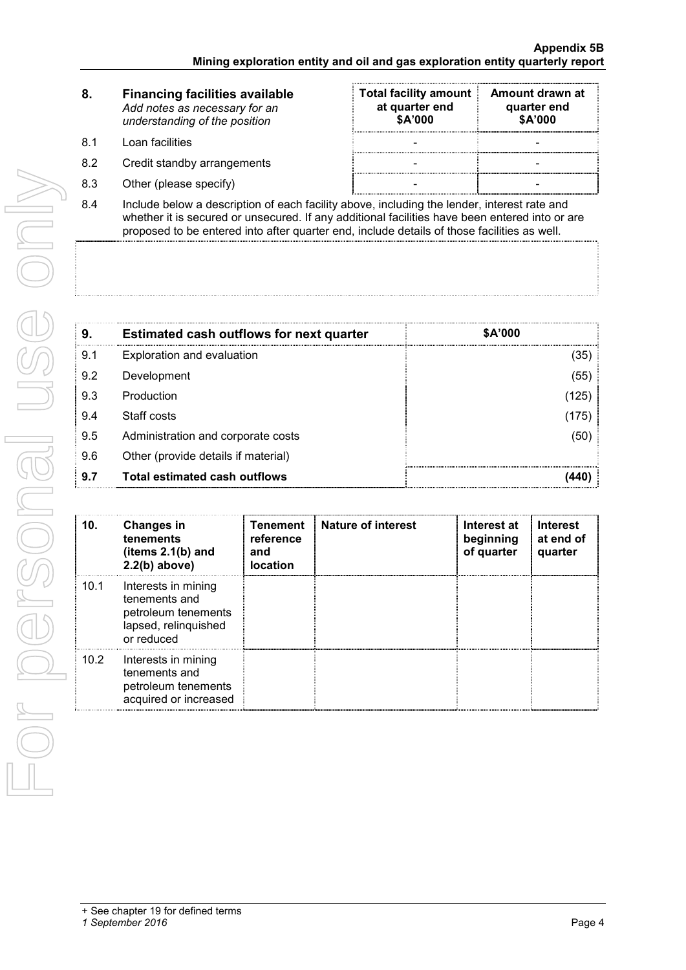|     | <b>Financing facilities available</b><br>Add notes as necessary for an<br>understanding of the position                | <b>Total facility amount</b><br>at quarter end<br>\$A'000 | Amount drawn at<br>quarter end<br>\$A'000 |
|-----|------------------------------------------------------------------------------------------------------------------------|-----------------------------------------------------------|-------------------------------------------|
| 81  | Loan facilities                                                                                                        |                                                           |                                           |
| 8.2 | Credit standby arrangements                                                                                            |                                                           |                                           |
| 8.3 | Other (please specify)                                                                                                 |                                                           |                                           |
| ົ່  | المستر والمساور المتحاويات والمستحل والمسالح والمساري ورودوا والمسترات والمستحدث والمستحدث والمستحدث والمساري والمسارا |                                                           |                                           |

8.4 Include below a description of each facility above, including the lender, interest rate and whether it is secured or unsecured. If any additional facilities have been entered into or are proposed to be entered into after quarter end, include details of those facilities as well.

| 9.  | <b>Estimated cash outflows for next quarter</b> | \$A'000 |
|-----|-------------------------------------------------|---------|
| 9.1 | Exploration and evaluation                      | (35)    |
| 9.2 | Development                                     | (55)    |
| 9.3 | Production                                      | (125)   |
| 9.4 | Staff costs                                     | (175)   |
| 9.5 | Administration and corporate costs              | (50)    |
| 9.6 | Other (provide details if material)             |         |
| 9.7 | Total estimated cash outflows                   |         |

| 10.  | <b>Changes in</b><br>tenements<br>(items $2.1(b)$ and<br>$2.2(b)$ above)                          | <b>Tenement</b><br>reference<br>and<br><b>location</b> | <b>Nature of interest</b> | Interest at<br>beginning<br>of quarter | <b>Interest</b><br>at end of<br>quarter |
|------|---------------------------------------------------------------------------------------------------|--------------------------------------------------------|---------------------------|----------------------------------------|-----------------------------------------|
| 10.1 | Interests in mining<br>tenements and<br>petroleum tenements<br>lapsed, relinquished<br>or reduced |                                                        |                           |                                        |                                         |
| 10.2 | Interests in mining<br>tenements and<br>petroleum tenements<br>acquired or increased              |                                                        |                           |                                        |                                         |